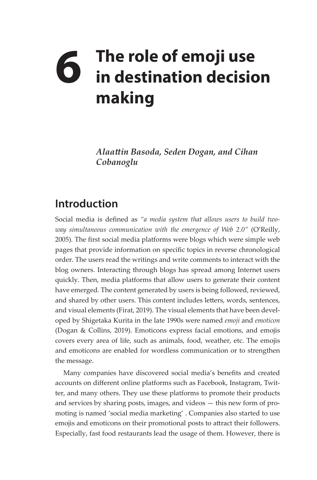## **6** The role of emoji use<br> **6** in destination decisio **in destination decision making**

*Alaattin Basoda, Seden Dogan, and Cihan Cobanoglu*

## **Introduction**

Social media is defined as *"a media system that allows users to build twoway simultaneous communication with the emergence of Web 2.0"* (O'Reilly, 2005)*.* The first social media platforms were blogs which were simple web pages that provide information on specific topics in reverse chronological order. The users read the writings and write comments to interact with the blog owners. Interacting through blogs has spread among Internet users quickly. Then, media platforms that allow users to generate their content have emerged. The content generated by users is being followed, reviewed, and shared by other users. This content includes letters, words, sentences, and visual elements (Firat, 2019). The visual elements that have been developed by Shigetaka Kurita in the late 1990s were named *emoji* and *emoticon* (Dogan & Collins, 2019). Emoticons express facial emotions, and emojis covers every area of life, such as animals, food, weather, etc. The emojis and emoticons are enabled for wordless communication or to strengthen the message.

Many companies have discovered social media's benefits and created accounts on different online platforms such as Facebook, Instagram, Twitter, and many others. They use these platforms to promote their products and services by sharing posts, images, and videos — this new form of promoting is named 'social media marketing' . Companies also started to use emojis and emoticons on their promotional posts to attract their followers. Especially, fast food restaurants lead the usage of them. However, there is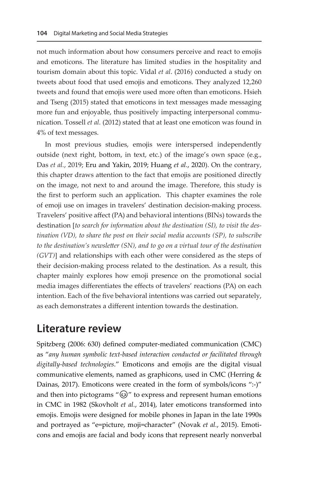not much information about how consumers perceive and react to emojis and emoticons. The literature has limited studies in the hospitality and tourism domain about this topic. Vidal *et al*. (2016) conducted a study on tweets about food that used emojis and emoticons. They analyzed 12,260 tweets and found that emojis were used more often than emoticons. Hsieh and Tseng (2015) stated that emoticons in text messages made messaging more fun and enjoyable, thus positively impacting interpersonal communication. Tossell *et al.* (2012) stated that at least one emoticon was found in 4% of text messages.

In most previous studies, emojis were interspersed independently outside (next right, bottom, in text, etc.) of the image's own space (e.g., Das *et al.*, 2019; Eru and Yakin, 2019; Huang *et al.*, 2020). On the contrary, this chapter draws attention to the fact that emojis are positioned directly on the image, not next to and around the image. Therefore, this study is the first to perform such an application. This chapter examines the role of emoji use on images in travelers' destination decision-making process. Travelers' positive affect (PA) and behavioral intentions (BINs) towards the destination [*to search for information about the destination (SI), to visit the destination (VD), to share the post on their social media accounts (SP), to subscribe to the destination's newsletter (SN), and to go on a virtual tour of the destination (GVT)*] and relationships with each other were considered as the steps of their decision-making process related to the destination. As a result, this chapter mainly explores how emoji presence on the promotional social media images differentiates the effects of travelers' reactions (PA) on each intention. Each of the five behavioral intentions was carried out separately, as each demonstrates a different intention towards the destination.

## **Literature review**

Spitzberg (2006: 630) defined computer-mediated communication (CMC) as "*any human symbolic text-based interaction conducted or facilitated through digitally-based technologies*." Emoticons and emojis are the digital visual communicative elements, named as graphicons, used in CMC (Herring & Dainas, 2017). Emoticons were created in the form of symbols/icons ":-)" and then into pictograms " $\omega$ " to express and represent human emotions in CMC in 1982 (Skovholt *et al.*, 2014), later emoticons transformed into emojis. Emojis were designed for mobile phones in Japan in the late 1990s and portrayed as "e=picture, moji=character" (Novak *et al.*, 2015). Emoticons and emojis are facial and body icons that represent nearly nonverbal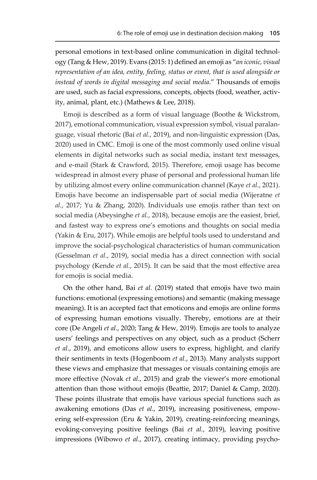personal emotions in text-based online communication in digital technology (Tang & Hew, 2019). Evans (2015: 1) defined an emoji as "*an iconic, visual representation of an idea, entity, feeling, status or event, that is used alongside or instead of words in digital messaging and social media*." Thousands of emojis are used, such as facial expressions, concepts, objects (food, weather, activity, animal, plant, etc.) (Mathews & Lee, 2018).

Emoji is described as a form of visual language (Boothe & Wickstrom, 2017), emotional communication, visual expression symbol, visual paralanguage, visual rhetoric (Bai *et al.*, 2019), and non-linguistic expression (Das, 2020) used in CMC. Emoji is one of the most commonly used online visual elements in digital networks such as social media, instant text messages, and e-mail (Stark & Crawford, 2015). Therefore, emoji usage has become widespread in almost every phase of personal and professional human life by utilizing almost every online communication channel (Kaye *et al.*, 2021). Emojis have become an indispensable part of social media (Wijeratne *et al.*, 2017; Yu & Zhang, 2020). Individuals use emojis rather than text on social media (Abeysinghe *et al.*, 2018), because emojis are the easiest, brief, and fastest way to express one's emotions and thoughts on social media (Yakin & Eru, 2017). While emojis are helpful tools used to understand and improve the social-psychological characteristics of human communication (Gesselman *et al.*, 2019), social media has a direct connection with social psychology (Kende *et al.*, 2015). It can be said that the most effective area for emojis is social media.

On the other hand, Bai *et al.* (2019) stated that emojis have two main functions: emotional (expressing emotions) and semantic (making message meaning). It is an accepted fact that emoticons and emojis are online forms of expressing human emotions visually. Thereby, emotions are at their core (De Angeli *et al.*, 2020; Tang & Hew, 2019). Emojis are tools to analyze users' feelings and perspectives on any object, such as a product (Scherr *et al.*, 2019), and emoticons allow users to express, highlight, and clarify their sentiments in texts (Hogenboom *et al.*, 2013). Many analysts support these views and emphasize that messages or visuals containing emojis are more effective (Novak *et al.*, 2015) and grab the viewer's more emotional attention than those without emojis (Beattie, 2017; Daniel & Camp, 2020). These points illustrate that emojis have various special functions such as awakening emotions (Das *et al.*, 2019), increasing positiveness, empowering self-expression (Eru & Yakin, 2019), creating-reinforcing meanings, evoking-conveying positive feelings (Bai *et al.*, 2019), leaving positive impressions (Wibowo *et al.*, 2017), creating intimacy, providing psycho